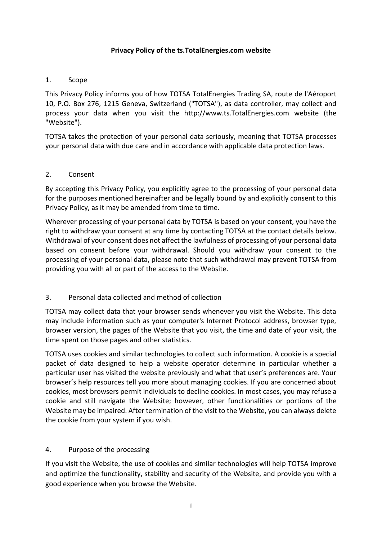### **Privacy Policy of the ts.TotalEnergies.com website**

#### 1. Scope

This Privacy Policy informs you of how TOTSA TotalEnergies Trading SA, route de l'Aéroport 10, P.O. Box 276, 1215 Geneva, Switzerland ("TOTSA"), as data controller, may collect and process your data when you visit the http://www.ts.TotalEnergies.com website (the "Website").

TOTSA takes the protection of your personal data seriously, meaning that TOTSA processes your personal data with due care and in accordance with applicable data protection laws.

#### 2. Consent

By accepting this Privacy Policy, you explicitly agree to the processing of your personal data for the purposes mentioned hereinafter and be legally bound by and explicitly consent to this Privacy Policy, as it may be amended from time to time.

Wherever processing of your personal data by TOTSA is based on your consent, you have the right to withdraw your consent at any time by contacting TOTSA at the contact details below. Withdrawal of your consent does not affect the lawfulness of processing of your personal data based on consent before your withdrawal. Should you withdraw your consent to the processing of your personal data, please note that such withdrawal may prevent TOTSA from providing you with all or part of the access to the Website.

### 3. Personal data collected and method of collection

TOTSA may collect data that your browser sends whenever you visit the Website. This data may include information such as your computer's Internet Protocol address, browser type, browser version, the pages of the Website that you visit, the time and date of your visit, the time spent on those pages and other statistics.

TOTSA uses cookies and similar technologies to collect such information. A cookie is a special packet of data designed to help a website operator determine in particular whether a particular user has visited the website previously and what that user's preferences are. Your browser's help resources tell you more about managing cookies. If you are concerned about cookies, most browsers permit individuals to decline cookies. In most cases, you may refuse a cookie and still navigate the Website; however, other functionalities or portions of the Website may be impaired. After termination of the visit to the Website, you can always delete the cookie from your system if you wish.

### 4. Purpose of the processing

If you visit the Website, the use of cookies and similar technologies will help TOTSA improve and optimize the functionality, stability and security of the Website, and provide you with a good experience when you browse the Website.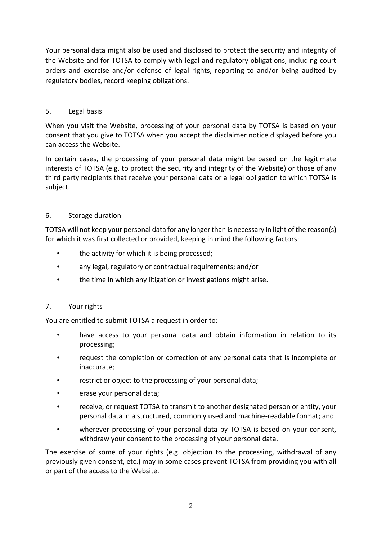Your personal data might also be used and disclosed to protect the security and integrity of the Website and for TOTSA to comply with legal and regulatory obligations, including court orders and exercise and/or defense of legal rights, reporting to and/or being audited by regulatory bodies, record keeping obligations.

### 5. Legal basis

When you visit the Website, processing of your personal data by TOTSA is based on your consent that you give to TOTSA when you accept the disclaimer notice displayed before you can access the Website.

In certain cases, the processing of your personal data might be based on the legitimate interests of TOTSA (e.g. to protect the security and integrity of the Website) or those of any third party recipients that receive your personal data or a legal obligation to which TOTSA is subject.

## 6. Storage duration

TOTSA will not keep your personal data for any longer than is necessary in light of the reason(s) for which it was first collected or provided, keeping in mind the following factors:

- the activity for which it is being processed;
- any legal, regulatory or contractual requirements; and/or
- the time in which any litigation or investigations might arise.

### 7. Your rights

You are entitled to submit TOTSA a request in order to:

- have access to your personal data and obtain information in relation to its processing;
- request the completion or correction of any personal data that is incomplete or inaccurate;
- restrict or object to the processing of your personal data;
- erase your personal data;
- receive, or request TOTSA to transmit to another designated person or entity, your personal data in a structured, commonly used and machine-readable format; and
- wherever processing of your personal data by TOTSA is based on your consent, withdraw your consent to the processing of your personal data.

The exercise of some of your rights (e.g. objection to the processing, withdrawal of any previously given consent, etc.) may in some cases prevent TOTSA from providing you with all or part of the access to the Website.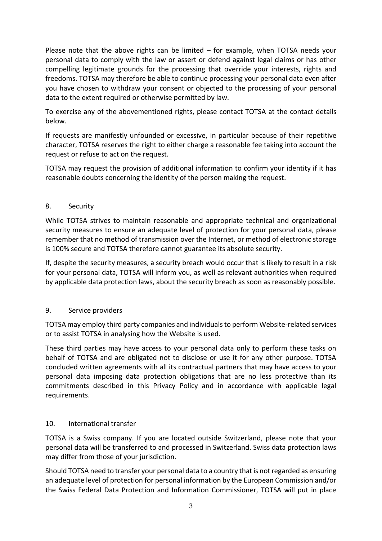Please note that the above rights can be limited – for example, when TOTSA needs your personal data to comply with the law or assert or defend against legal claims or has other compelling legitimate grounds for the processing that override your interests, rights and freedoms. TOTSA may therefore be able to continue processing your personal data even after you have chosen to withdraw your consent or objected to the processing of your personal data to the extent required or otherwise permitted by law.

To exercise any of the abovementioned rights, please contact TOTSA at the contact details below.

If requests are manifestly unfounded or excessive, in particular because of their repetitive character, TOTSA reserves the right to either charge a reasonable fee taking into account the request or refuse to act on the request.

TOTSA may request the provision of additional information to confirm your identity if it has reasonable doubts concerning the identity of the person making the request.

### 8. Security

While TOTSA strives to maintain reasonable and appropriate technical and organizational security measures to ensure an adequate level of protection for your personal data, please remember that no method of transmission over the Internet, or method of electronic storage is 100% secure and TOTSA therefore cannot guarantee its absolute security.

If, despite the security measures, a security breach would occur that is likely to result in a risk for your personal data, TOTSA will inform you, as well as relevant authorities when required by applicable data protection laws, about the security breach as soon as reasonably possible.

### 9. Service providers

TOTSA may employ third party companies and individuals to perform Website-related services or to assist TOTSA in analysing how the Website is used.

These third parties may have access to your personal data only to perform these tasks on behalf of TOTSA and are obligated not to disclose or use it for any other purpose. TOTSA concluded written agreements with all its contractual partners that may have access to your personal data imposing data protection obligations that are no less protective than its commitments described in this Privacy Policy and in accordance with applicable legal requirements.

# 10. International transfer

TOTSA is a Swiss company. If you are located outside Switzerland, please note that your personal data will be transferred to and processed in Switzerland. Swiss data protection laws may differ from those of your jurisdiction.

Should TOTSA need to transfer your personal data to a country that is not regarded as ensuring an adequate level of protection for personal information by the European Commission and/or the Swiss Federal Data Protection and Information Commissioner, TOTSA will put in place